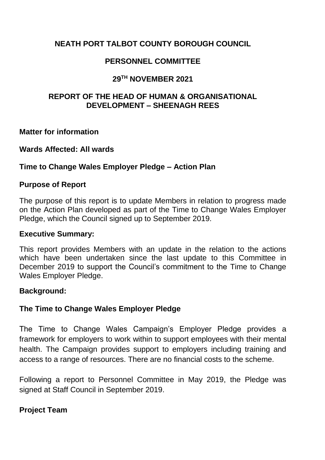# **NEATH PORT TALBOT COUNTY BOROUGH COUNCIL**

# **PERSONNEL COMMITTEE**

## **29TH NOVEMBER 2021**

## **REPORT OF THE HEAD OF HUMAN & ORGANISATIONAL DEVELOPMENT – SHEENAGH REES**

**Matter for information**

#### **Wards Affected: All wards**

#### **Time to Change Wales Employer Pledge – Action Plan**

#### **Purpose of Report**

The purpose of this report is to update Members in relation to progress made on the Action Plan developed as part of the Time to Change Wales Employer Pledge, which the Council signed up to September 2019.

#### **Executive Summary:**

This report provides Members with an update in the relation to the actions which have been undertaken since the last update to this Committee in December 2019 to support the Council's commitment to the Time to Change Wales Employer Pledge.

#### **Background:**

## **The Time to Change Wales Employer Pledge**

The Time to Change Wales Campaign's Employer Pledge provides a framework for employers to work within to support employees with their mental health. The Campaign provides support to employers including training and access to a range of resources. There are no financial costs to the scheme.

Following a report to Personnel Committee in May 2019, the Pledge was signed at Staff Council in September 2019.

## **Project Team**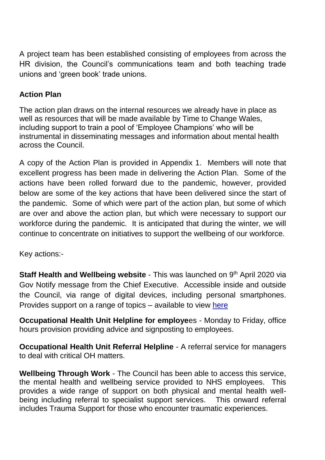A project team has been established consisting of employees from across the HR division, the Council's communications team and both teaching trade unions and 'green book' trade unions.

# **Action Plan**

The action plan draws on the internal resources we already have in place as well as resources that will be made available by Time to Change Wales, including support to train a pool of 'Employee Champions' who will be instrumental in disseminating messages and information about mental health across the Council.

A copy of the Action Plan is provided in Appendix 1. Members will note that excellent progress has been made in delivering the Action Plan. Some of the actions have been rolled forward due to the pandemic, however, provided below are some of the key actions that have been delivered since the start of the pandemic. Some of which were part of the action plan, but some of which are over and above the action plan, but which were necessary to support our workforce during the pandemic. It is anticipated that during the winter, we will continue to concentrate on initiatives to support the wellbeing of our workforce.

Key actions:-

**Staff Health and Wellbeing website** - This was launched on 9<sup>th</sup> April 2020 via Gov Notify message from the Chief Executive. Accessible inside and outside the Council, via range of digital devices, including personal smartphones. Provides support on a range of topics – available to view [here](https://www.npt.gov.uk/staff)

**Occupational Health Unit Helpline for employe**es - Monday to Friday, office hours provision providing advice and signposting to employees.

**Occupational Health Unit Referral Helpline** - A referral service for managers to deal with critical OH matters.

**Wellbeing Through Work** - The Council has been able to access this service, the mental health and wellbeing service provided to NHS employees. This provides a wide range of support on both physical and mental health wellbeing including referral to specialist support services. This onward referral includes Trauma Support for those who encounter traumatic experiences.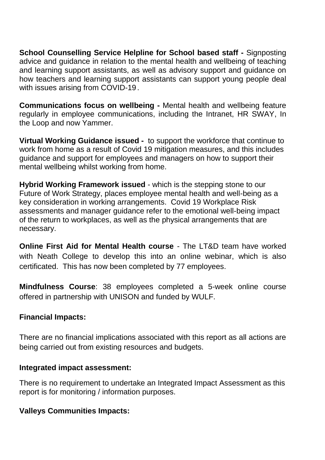**School Counselling Service Helpline for School based staff -** Signposting advice and guidance in relation to the mental health and wellbeing of teaching and learning support assistants, as well as advisory support and guidance on how teachers and learning support assistants can support young people deal with issues arising from COVID-19.

**Communications focus on wellbeing -** Mental health and wellbeing feature regularly in employee communications, including the Intranet, HR SWAY, In the Loop and now Yammer.

**Virtual Working Guidance issued -** to support the workforce that continue to work from home as a result of Covid 19 mitigation measures, and this includes guidance and support for employees and managers on how to support their mental wellbeing whilst working from home.

**Hybrid Working Framework issued** - which is the stepping stone to our Future of Work Strategy, places employee mental health and well-being as a key consideration in working arrangements. Covid 19 Workplace Risk assessments and manager guidance refer to the emotional well-being impact of the return to workplaces, as well as the physical arrangements that are necessary.

**Online First Aid for Mental Health course** - The LT&D team have worked with Neath College to develop this into an online webinar, which is also certificated. This has now been completed by 77 employees.

**Mindfulness Course**: 38 employees completed a 5-week online course offered in partnership with UNISON and funded by WULF.

## **Financial Impacts:**

There are no financial implications associated with this report as all actions are being carried out from existing resources and budgets.

#### **Integrated impact assessment:**

There is no requirement to undertake an Integrated Impact Assessment as this report is for monitoring / information purposes.

## **Valleys Communities Impacts:**